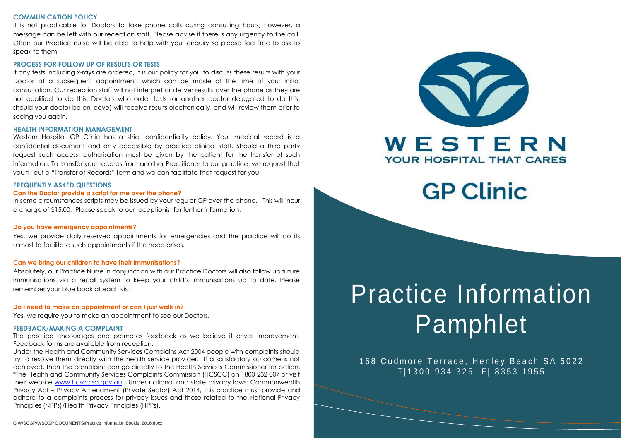#### **COMMUNICATION POLICY**

It is not practicable for Doctors to take phone calls during consulting hours; however, a message can be left with our reception staff. Please advise if there is any urgency to the call. Often our Practice nurse will be able to help with your enquiry so please feel free to ask to speak to them.

#### **PROCESS FOR FOLLOW UP OF RESULTS OR TESTS**

If any tests including x-rays are ordered, it is our policy for you to discuss these results with your Doctor at a subsequent appointment, which can be made at the time of your initial consultation. Our reception staff will not interpret or deliver results over the phone as they are not qualified to do this. Doctors who order tests (or another doctor delegated to do this, should your doctor be on leave) will receive results electronically, and will review them prior to seeing you again.

#### **HEALTH INFORMATION MANAGEMENT**

Western Hospital GP Clinic has a strict confidentiality policy. Your medical record is a confidential document and only accessible by practice clinical staff. Should a third party request such access, authorisation must be given by the patient for the transfer of such information. To transfer your records from another Practitioner to our practice, we request that you fill out a "Transfer of Records" form and we can facilitate that request for you.

#### **FREQUENTLY ASKED QUESTIONS**

#### **Can the Doctor provide a script for me over the phone?**

In some circumstances scripts may be issued by your regular GP over the phone. This will incur a charge of \$15.00. Please speak to our receptionist for further information.

#### **Do you have emergency appointments?**

Yes, we provide daily reserved appointments for emergencies and the practice will do its utmost to facilitate such appointments if the need arises.

#### **Can we bring our children to have their immunisations?**

Absolutely, our Practice Nurse in conjunction with our Practice Doctors will also follow up future immunisations via a recall system to keep your child's immunisations up to date. Please remember your blue book at each visit.

#### **Do I need to make an appointment or can I just walk in?**

Yes, we require you to make an appointment to see our Doctors.

#### **FEEDBACK/MAKING A COMPLAINT**

The practice encourages and promotes feedback as we believe it drives improvement. Feedback forms are available from reception.

Under the Health and Community Services Complains Act 2004 people with complaints should try to resolve them directly with the health service provider. If a satisfactory outcome is not achieved, then the complaint can go directly to the Health Services Commissioner for action. \*The Health and Community Services Complaints Commission (HCSCC) on 1800 232 007 or visit their website [www.hcscc.sa.gov.au.](http://www.hcscc.sa.gov.au/) Under national and state privacy laws: Commonwealth Privacy Act – Privacy Amendment (Private Sector) Act 2014, this practice must provide and adhere to a complaints process for privacy issues and those related to the National Privacy Principles (NPPs)/Health Privacy Principles (HPPs).



## **GP Clinic**

# Practice Information Pamphlet

168 Cudmore Terrace, Henley Beach SA 5022 T| 1300 934 325 F| 8353 1955